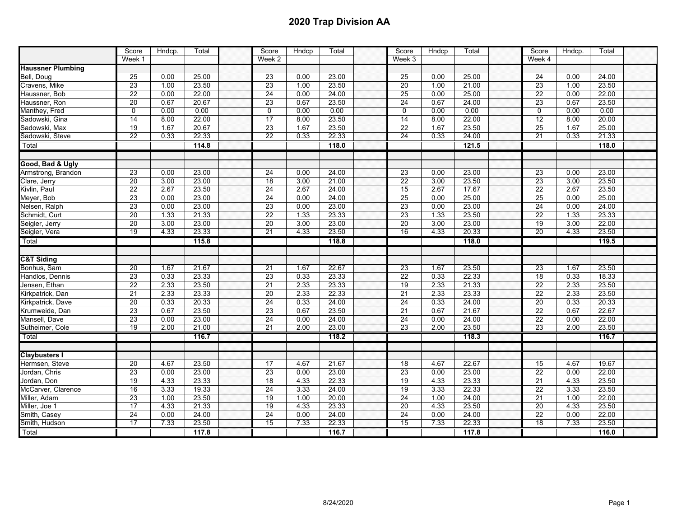|                          | Score           | Hndcp. | Total | Score           | Hndcp | Total | Score           | Hndcp | Total | Score           | Hndcp. | Total |  |
|--------------------------|-----------------|--------|-------|-----------------|-------|-------|-----------------|-------|-------|-----------------|--------|-------|--|
|                          | Week 1          |        |       | Week 2          |       |       | Week 3          |       |       | Week 4          |        |       |  |
| <b>Haussner Plumbing</b> |                 |        |       |                 |       |       |                 |       |       |                 |        |       |  |
| Bell, Doug               | 25              | 0.00   | 25.00 | 23              | 0.00  | 23.00 | 25              | 0.00  | 25.00 | 24              | 0.00   | 24.00 |  |
| Cravens, Mike            | 23              | 1.00   | 23.50 | 23              | 1.00  | 23.50 | 20              | 1.00  | 21.00 | 23              | 1.00   | 23.50 |  |
| Haussner, Bob            | $\overline{22}$ | 0.00   | 22.00 | 24              | 0.00  | 24.00 | $\overline{25}$ | 0.00  | 25.00 | $\overline{22}$ | 0.00   | 22.00 |  |
| Haussner, Ron            | 20              | 0.67   | 20.67 | 23              | 0.67  | 23.50 | 24              | 0.67  | 24.00 | 23              | 0.67   | 23.50 |  |
| Manthey, Fred            | $\Omega$        | 0.00   | 0.00  | $\mathbf 0$     | 0.00  | 0.00  | $\Omega$        | 0.00  | 0.00  | $\Omega$        | 0.00   | 0.00  |  |
| Sadowski, Gina           | 14              | 8.00   | 22.00 | 17              | 8.00  | 23.50 | 14              | 8.00  | 22.00 | 12              | 8.00   | 20.00 |  |
| Sadowski, Max            | $\overline{19}$ | 1.67   | 20.67 | 23              | 1.67  | 23.50 | $\overline{22}$ | 1.67  | 23.50 | 25              | 1.67   | 25.00 |  |
| Sadowski, Steve          | 22              | 0.33   | 22.33 | $\overline{22}$ | 0.33  | 22.33 | $\overline{24}$ | 0.33  | 24.00 | 21              | 0.33   | 21.33 |  |
| Total                    |                 |        | 114.8 |                 |       | 118.0 |                 |       | 121.5 |                 |        | 118.0 |  |
|                          |                 |        |       |                 |       |       |                 |       |       |                 |        |       |  |
| Good, Bad & Ugly         |                 |        |       |                 |       |       |                 |       |       |                 |        |       |  |
| Armstrong, Brandon       | 23              | 0.00   | 23.00 | 24              | 0.00  | 24.00 | 23              | 0.00  | 23.00 | 23              | 0.00   | 23.00 |  |
| Clare, Jerry             | 20              | 3.00   | 23.00 | 18              | 3.00  | 21.00 | 22              | 3.00  | 23.50 | 23              | 3.00   | 23.50 |  |
| Kivlin, Paul             | $\overline{22}$ | 2.67   | 23.50 | 24              | 2.67  | 24.00 | 15              | 2.67  | 17.67 | $\overline{22}$ | 2.67   | 23.50 |  |
| Meyer, Bob               | 23              | 0.00   | 23.00 | 24              | 0.00  | 24.00 | 25              | 0.00  | 25.00 | 25              | 0.00   | 25.00 |  |
| Nelsen, Ralph            | 23              | 0.00   | 23.00 | 23              | 0.00  | 23.00 | $\overline{23}$ | 0.00  | 23.00 | $\overline{24}$ | 0.00   | 24.00 |  |
| Schmidt, Curt            | 20              | 1.33   | 21.33 | 22              | 1.33  | 23.33 | 23              | 1.33  | 23.50 | 22              | 1.33   | 23.33 |  |
| Seigler, Jerry           | $\overline{20}$ | 3.00   | 23.00 | 20              | 3.00  | 23.00 | 20              | 3.00  | 23.00 | $\overline{19}$ | 3.00   | 22.00 |  |
| Seigler, Vera            | $\overline{19}$ | 4.33   | 23.33 | 21              | 4.33  | 23.50 | 16              | 4.33  | 20.33 | $\overline{20}$ | 4.33   | 23.50 |  |
| Total                    |                 |        | 115.8 |                 |       | 118.8 |                 |       | 118.0 |                 |        | 119.5 |  |
|                          |                 |        |       |                 |       |       |                 |       |       |                 |        |       |  |
| <b>C&amp;T Siding</b>    |                 |        |       |                 |       |       |                 |       |       |                 |        |       |  |
| Bonhus, Sam              | 20              | 1.67   | 21.67 | 21              | 1.67  | 22.67 | 23              | 1.67  | 23.50 | 23              | 1.67   | 23.50 |  |
| Handlos, Dennis          | 23              | 0.33   | 23.33 | 23              | 0.33  | 23.33 | 22              | 0.33  | 22.33 | 18              | 0.33   | 18.33 |  |
| Jensen, Ethan            | $\overline{22}$ | 2.33   | 23.50 | 21              | 2.33  | 23.33 | 19              | 2.33  | 21.33 | $\overline{22}$ | 2.33   | 23.50 |  |
| Kirkpatrick, Dan         | 21              | 2.33   | 23.33 | 20              | 2.33  | 22.33 | 21              | 2.33  | 23.33 | 22              | 2.33   | 23.50 |  |
| Kirkpatrick, Dave        | $\overline{20}$ | 0.33   | 20.33 | 24              | 0.33  | 24.00 | 24              | 0.33  | 24.00 | $\overline{20}$ | 0.33   | 20.33 |  |
| Krumweide, Dan           | 23              | 0.67   | 23.50 | 23              | 0.67  | 23.50 | 21              | 0.67  | 21.67 | 22              | 0.67   | 22.67 |  |
| Mansell, Dave            | 23              | 0.00   | 23.00 | 24              | 0.00  | 24.00 | 24              | 0.00  | 24.00 | 22              | 0.00   | 22.00 |  |
| Sutheimer, Cole          | 19              | 2.00   | 21.00 | $\overline{21}$ | 2.00  | 23.00 | 23              | 2.00  | 23.50 | 23              | 2.00   | 23.50 |  |
| Total                    |                 |        | 116.7 |                 |       | 118.2 |                 |       | 118.3 |                 |        | 116.7 |  |
|                          |                 |        |       |                 |       |       |                 |       |       |                 |        |       |  |
| <b>Claybusters I</b>     |                 |        |       |                 |       |       |                 |       |       |                 |        |       |  |
| Hermsen, Steve           | 20              | 4.67   | 23.50 | 17              | 4.67  | 21.67 | 18              | 4.67  | 22.67 | 15              | 4.67   | 19.67 |  |
| Jordan, Chris            | 23              | 0.00   | 23.00 | 23              | 0.00  | 23.00 | $\overline{23}$ | 0.00  | 23.00 | $\overline{22}$ | 0.00   | 22.00 |  |
| Jordan, Don              | 19              | 4.33   | 23.33 | 18              | 4.33  | 22.33 | 19              | 4.33  | 23.33 | 21              | 4.33   | 23.50 |  |
| McCarver, Clarence       | 16              | 3.33   | 19.33 | 24              | 3.33  | 24.00 | 19              | 3.33  | 22.33 | 22              | 3.33   | 23.50 |  |
| Miller, Adam             | 23              | 1.00   | 23.50 | 19              | 1.00  | 20.00 | 24              | 1.00  | 24.00 | 21              | 1.00   | 22.00 |  |
| Miller, Joe 1            | 17              | 4.33   | 21.33 | 19              | 4.33  | 23.33 | 20              | 4.33  | 23.50 | $\overline{20}$ | 4.33   | 23.50 |  |
| Smith, Casey             | 24              | 0.00   | 24.00 | 24              | 0.00  | 24.00 | 24              | 0.00  | 24.00 | 22              | 0.00   | 22.00 |  |
| Smith, Hudson            | 17              | 7.33   | 23.50 | 15              | 7.33  | 22.33 | 15              | 7.33  | 22.33 | 18              | 7.33   | 23.50 |  |
| Total                    |                 |        | 117.8 |                 |       | 116.7 |                 |       | 117.8 |                 |        | 116.0 |  |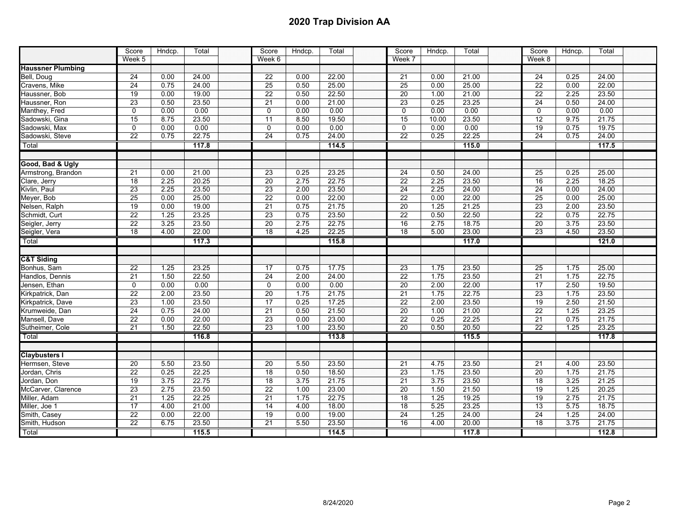|                          | Score           | Hndcp. | Total | Score           | Hndcp. | Total | Score           | Hndcp. | Total | Score           | Hdncp. | Total |
|--------------------------|-----------------|--------|-------|-----------------|--------|-------|-----------------|--------|-------|-----------------|--------|-------|
|                          | Week 5          |        |       | Week 6          |        |       | Week 7          |        |       | Week 8          |        |       |
| <b>Haussner Plumbing</b> |                 |        |       |                 |        |       |                 |        |       |                 |        |       |
| Bell, Doug               | 24              | 0.00   | 24.00 | 22              | 0.00   | 22.00 | 21              | 0.00   | 21.00 | 24              | 0.25   | 24.00 |
| Cravens, Mike            | 24              | 0.75   | 24.00 | 25              | 0.50   | 25.00 | 25              | 0.00   | 25.00 | 22              | 0.00   | 22.00 |
| Haussner, Bob            | $\overline{19}$ | 0.00   | 19.00 | $\overline{22}$ | 0.50   | 22.50 | $\overline{20}$ | 1.00   | 21.00 | $\overline{22}$ | 2.25   | 23.50 |
| Haussner, Ron            | 23              | 0.50   | 23.50 | 21              | 0.00   | 21.00 | 23              | 0.25   | 23.25 | 24              | 0.50   | 24.00 |
| Manthey, Fred            | $\Omega$        | 0.00   | 0.00  | $\mathbf 0$     | 0.00   | 0.00  | 0               | 0.00   | 0.00  | $\mathbf 0$     | 0.00   | 0.00  |
| Sadowski, Gina           | 15              | 8.75   | 23.50 | 11              | 8.50   | 19.50 | 15              | 10.00  | 23.50 | 12              | 9.75   | 21.75 |
| Sadowski, Max            | $\mathbf 0$     | 0.00   | 0.00  | $\mathbf 0$     | 0.00   | 0.00  | 0               | 0.00   | 0.00  | $\overline{19}$ | 0.75   | 19.75 |
| Sadowski, Steve          | 22              | 0.75   | 22.75 | 24              | 0.75   | 24.00 | $\overline{22}$ | 0.25   | 22.25 | $\overline{24}$ | 0.75   | 24.00 |
| Total                    |                 |        | 117.8 |                 |        | 114.5 |                 |        | 115.0 |                 |        | 117.5 |
|                          |                 |        |       |                 |        |       |                 |        |       |                 |        |       |
| Good, Bad & Ugly         |                 |        |       |                 |        |       |                 |        |       |                 |        |       |
| Armstrong, Brandon       | 21              | 0.00   | 21.00 | 23              | 0.25   | 23.25 | $\overline{24}$ | 0.50   | 24.00 | $\overline{25}$ | 0.25   | 25.00 |
| Clare, Jerry             | 18              | 2.25   | 20.25 | 20              | 2.75   | 22.75 | 22              | 2.25   | 23.50 | 16              | 2.25   | 18.25 |
| Kivlin, Paul             | 23              | 2.25   | 23.50 | $\overline{23}$ | 2.00   | 23.50 | $\overline{24}$ | 2.25   | 24.00 | $\overline{24}$ | 0.00   | 24.00 |
| Meyer, Bob               | $\overline{25}$ | 0.00   | 25.00 | 22              | 0.00   | 22.00 | 22              | 0.00   | 22.00 | 25              | 0.00   | 25.00 |
| Nelsen, Ralph            | 19              | 0.00   | 19.00 | 21              | 0.75   | 21.75 | $\overline{20}$ | 1.25   | 21.25 | $\overline{23}$ | 2.00   | 23.50 |
| Schmidt, Curt            | 22              | 1.25   | 23.25 | 23              | 0.75   | 23.50 | 22              | 0.50   | 22.50 | 22              | 0.75   | 22.75 |
| Seigler, Jerry           | 22              | 3.25   | 23.50 | $\overline{20}$ | 2.75   | 22.75 | 16              | 2.75   | 18.75 | 20              | 3.75   | 23.50 |
| Seigler, Vera            | 18              | 4.00   | 22.00 | $\overline{18}$ | 4.25   | 22.25 | 18              | 5.00   | 23.00 | 23              | 4.50   | 23.50 |
| Total                    |                 |        | 117.3 |                 |        | 115.8 |                 |        | 117.0 |                 |        | 121.0 |
|                          |                 |        |       |                 |        |       |                 |        |       |                 |        |       |
| <b>C&amp;T Siding</b>    |                 |        |       |                 |        |       |                 |        |       |                 |        |       |
| Bonhus, Sam              | 22              | 1.25   | 23.25 | 17              | 0.75   | 17.75 | 23              | 1.75   | 23.50 | $\overline{25}$ | 1.75   | 25.00 |
| Handlos, Dennis          | 21              | 1.50   | 22.50 | 24              | 2.00   | 24.00 | 22              | 1.75   | 23.50 | 21              | 1.75   | 22.75 |
| Jensen, Ethan            | $\mathbf 0$     | 0.00   | 0.00  | $\overline{0}$  | 0.00   | 0.00  | $\overline{20}$ | 2.00   | 22.00 | $\overline{17}$ | 2.50   | 19.50 |
| Kirkpatrick, Dan         | 22              | 2.00   | 23.50 | 20              | 1.75   | 21.75 | 21              | 1.75   | 22.75 | 23              | 1.75   | 23.50 |
| Kirkpatrick, Dave        | $\overline{23}$ | 1.00   | 23.50 | 17              | 0.25   | 17.25 | 22              | 2.00   | 23.50 | 19              | 2.50   | 21.50 |
| Krumweide, Dan           | 24              | 0.75   | 24.00 | 21              | 0.50   | 21.50 | 20              | 1.00   | 21.00 | 22              | 1.25   | 23.25 |
| Mansell, Dave            | 22              | 0.00   | 22.00 | 23              | 0.00   | 23.00 | 22              | 0.25   | 22.25 | 21              | 0.75   | 21.75 |
| Sutheimer, Cole          | 21              | 1.50   | 22.50 | 23              | 1.00   | 23.50 | 20              | 0.50   | 20.50 | 22              | 1.25   | 23.25 |
| Total                    |                 |        | 116.8 |                 |        | 113.8 |                 |        | 115.5 |                 |        | 117.8 |
|                          |                 |        |       |                 |        |       |                 |        |       |                 |        |       |
| <b>Claybusters I</b>     |                 |        |       |                 |        |       |                 |        |       |                 |        |       |
| Hermsen, Steve           | 20              | 5.50   | 23.50 | $\overline{20}$ | 5.50   | 23.50 | $\overline{21}$ | 4.75   | 23.50 | 21              | 4.00   | 23.50 |
| Jordan, Chris            | 22              | 0.25   | 22.25 | 18              | 0.50   | 18.50 | $\overline{23}$ | 1.75   | 23.50 | 20              | 1.75   | 21.75 |
| Jordan, Don              | 19              | 3.75   | 22.75 | 18              | 3.75   | 21.75 | $\overline{21}$ | 3.75   | 23.50 | 18              | 3.25   | 21.25 |
| McCarver, Clarence       | $\overline{23}$ | 2.75   | 23.50 | 22              | 1.00   | 23.00 | 20              | 1.50   | 21.50 | 19              | 1.25   | 20.25 |
| Miller, Adam             | 21              | 1.25   | 22.25 | 21              | 1.75   | 22.75 | 18              | 1.25   | 19.25 | 19              | 2.75   | 21.75 |
| Miller, Joe 1            | 17              | 4.00   | 21.00 | $\overline{14}$ | 4.00   | 18.00 | 18              | 5.25   | 23.25 | $\overline{13}$ | 5.75   | 18.75 |
| Smith, Casey             | 22              | 0.00   | 22.00 | 19              | 0.00   | 19.00 | 24              | 1.25   | 24.00 | 24              | 1.25   | 24.00 |
| Smith, Hudson            | 22              | 6.75   | 23.50 | $\overline{21}$ | 5.50   | 23.50 | 16              | 4.00   | 20.00 | 18              | 3.75   | 21.75 |
| Total                    |                 |        | 115.5 |                 |        | 114.5 |                 |        | 117.8 |                 |        | 112.8 |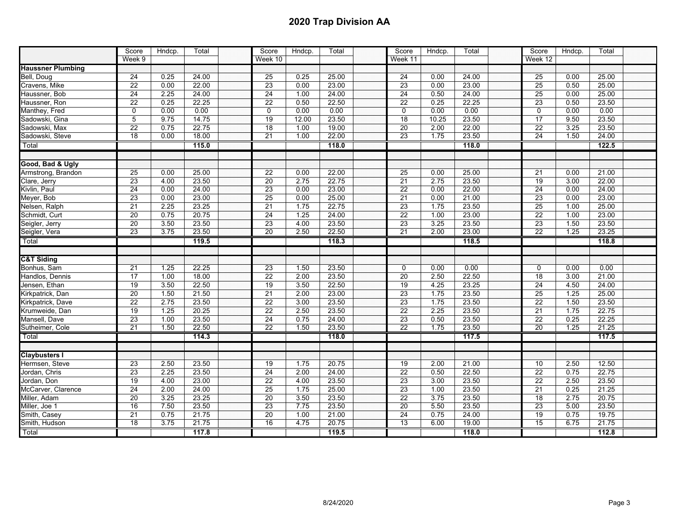|                          | Score           | Hndcp. | Total | Score           | Hndcp. | Total | Score           | Hndcp. | Total | Score           | Hndcp. | Total |
|--------------------------|-----------------|--------|-------|-----------------|--------|-------|-----------------|--------|-------|-----------------|--------|-------|
|                          | Week 9          |        |       | Week 10         |        |       | Week 11         |        |       | Week 12         |        |       |
| <b>Haussner Plumbing</b> |                 |        |       |                 |        |       |                 |        |       |                 |        |       |
| Bell, Doug               | 24              | 0.25   | 24.00 | 25              | 0.25   | 25.00 | 24              | 0.00   | 24.00 | 25              | 0.00   | 25.00 |
| Cravens, Mike            | 22              | 0.00   | 22.00 | 23              | 0.00   | 23.00 | 23              | 0.00   | 23.00 | 25              | 0.50   | 25.00 |
| Haussner, Bob            | 24              | 2.25   | 24.00 | 24              | 1.00   | 24.00 | 24              | 0.50   | 24.00 | $\overline{25}$ | 0.00   | 25.00 |
| Haussner, Ron            | 22              | 0.25   | 22.25 | 22              | 0.50   | 22.50 | 22              | 0.25   | 22.25 | 23              | 0.50   | 23.50 |
| Manthey, Fred            | $\Omega$        | 0.00   | 0.00  | $\mathbf 0$     | 0.00   | 0.00  | 0               | 0.00   | 0.00  | $\mathbf 0$     | 0.00   | 0.00  |
| Sadowski, Gina           | 5               | 9.75   | 14.75 | 19              | 12.00  | 23.50 | 18              | 10.25  | 23.50 | 17              | 9.50   | 23.50 |
| Sadowski, Max            | $\overline{22}$ | 0.75   | 22.75 | 18              | 1.00   | 19.00 | $\overline{20}$ | 2.00   | 22.00 | $\overline{22}$ | 3.25   | 23.50 |
| Sadowski, Steve          | 18              | 0.00   | 18.00 | 21              | 1.00   | 22.00 | $\overline{23}$ | 1.75   | 23.50 | $\overline{24}$ | 1.50   | 24.00 |
| Total                    |                 |        | 115.0 |                 |        | 118.0 |                 |        | 118.0 |                 |        | 122.5 |
|                          |                 |        |       |                 |        |       |                 |        |       |                 |        |       |
| Good, Bad & Ugly         |                 |        |       |                 |        |       |                 |        |       |                 |        |       |
| Armstrong, Brandon       | 25              | 0.00   | 25.00 | $\overline{22}$ | 0.00   | 22.00 | 25              | 0.00   | 25.00 | $\overline{21}$ | 0.00   | 21.00 |
| Clare, Jerry             | 23              | 4.00   | 23.50 | 20              | 2.75   | 22.75 | 21              | 2.75   | 23.50 | 19              | 3.00   | 22.00 |
| Kivlin, Paul             | $\overline{24}$ | 0.00   | 24.00 | $\overline{23}$ | 0.00   | 23.00 | $\overline{22}$ | 0.00   | 22.00 | $\overline{24}$ | 0.00   | 24.00 |
| Meyer, Bob               | $\overline{23}$ | 0.00   | 23.00 | $\overline{25}$ | 0.00   | 25.00 | 21              | 0.00   | 21.00 | 23              | 0.00   | 23.00 |
| Nelsen, Ralph            | $\overline{21}$ | 2.25   | 23.25 | 21              | 1.75   | 22.75 | $\overline{23}$ | 1.75   | 23.50 | $\overline{25}$ | 1.00   | 25.00 |
| Schmidt, Curt            | 20              | 0.75   | 20.75 | 24              | 1.25   | 24.00 | 22              | 1.00   | 23.00 | 22              | 1.00   | 23.00 |
| Seigler, Jerry           | 20              | 3.50   | 23.50 | $\overline{23}$ | 4.00   | 23.50 | 23              | 3.25   | 23.50 | 23              | 1.50   | 23.50 |
| Seigler, Vera            | 23              | 3.75   | 23.50 | $\overline{20}$ | 2.50   | 22.50 | 21              | 2.00   | 23.00 | $\overline{22}$ | 1.25   | 23.25 |
| Total                    |                 |        | 119.5 |                 |        | 118.3 |                 |        | 118.5 |                 |        | 118.8 |
|                          |                 |        |       |                 |        |       |                 |        |       |                 |        |       |
| <b>C&amp;T Siding</b>    |                 |        |       |                 |        |       |                 |        |       |                 |        |       |
| Bonhus, Sam              | $\overline{21}$ | 1.25   | 22.25 | 23              | 1.50   | 23.50 | 0               | 0.00   | 0.00  | $\mathbf 0$     | 0.00   | 0.00  |
| Handlos, Dennis          | 17              | 1.00   | 18.00 | 22              | 2.00   | 23.50 | 20              | 2.50   | 22.50 | 18              | 3.00   | 21.00 |
| Jensen, Ethan            | 19              | 3.50   | 22.50 | 19              | 3.50   | 22.50 | 19              | 4.25   | 23.25 | $\overline{24}$ | 4.50   | 24.00 |
| Kirkpatrick, Dan         | 20              | 1.50   | 21.50 | 21              | 2.00   | 23.00 | 23              | 1.75   | 23.50 | 25              | 1.25   | 25.00 |
| Kirkpatrick, Dave        | 22              | 2.75   | 23.50 | 22              | 3.00   | 23.50 | 23              | 1.75   | 23.50 | 22              | 1.50   | 23.50 |
| Krumweide, Dan           | 19              | 1.25   | 20.25 | 22              | 2.50   | 23.50 | 22              | 2.25   | 23.50 | 21              | 1.75   | 22.75 |
| Mansell, Dave            | 23              | 1.00   | 23.50 | 24              | 0.75   | 24.00 | 23              | 0.50   | 23.50 | 22              | 0.25   | 22.25 |
| Sutheimer, Cole          | 21              | 1.50   | 22.50 | 22              | 1.50   | 23.50 | 22              | 1.75   | 23.50 | 20              | 1.25   | 21.25 |
| Total                    |                 |        | 114.3 |                 |        | 118.0 |                 |        | 117.5 |                 |        | 117.5 |
|                          |                 |        |       |                 |        |       |                 |        |       |                 |        |       |
| <b>Claybusters I</b>     |                 |        |       |                 |        |       |                 |        |       |                 |        |       |
| Hermsen, Steve           | 23              | 2.50   | 23.50 | 19              | 1.75   | 20.75 | 19              | 2.00   | 21.00 | 10              | 2.50   | 12.50 |
| Jordan, Chris            | 23              | 2.25   | 23.50 | 24              | 2.00   | 24.00 | 22              | 0.50   | 22.50 | 22              | 0.75   | 22.75 |
| Jordan, Don              | 19              | 4.00   | 23.00 | 22              | 4.00   | 23.50 | 23              | 3.00   | 23.50 | 22              | 2.50   | 23.50 |
| McCarver, Clarence       | 24              | 2.00   | 24.00 | 25              | 1.75   | 25.00 | $\overline{23}$ | 1.00   | 23.50 | 21              | 0.25   | 21.25 |
| Miller, Adam             | 20              | 3.25   | 23.25 | 20              | 3.50   | 23.50 | 22              | 3.75   | 23.50 | 18              | 2.75   | 20.75 |
| Miller, Joe 1            | 16              | 7.50   | 23.50 | $\overline{23}$ | 7.75   | 23.50 | $\overline{20}$ | 5.50   | 23.50 | $\overline{23}$ | 5.00   | 23.50 |
| Smith, Casey             | 21              | 0.75   | 21.75 | 20              | 1.00   | 21.00 | 24              | 0.75   | 24.00 | 19              | 0.75   | 19.75 |
| Smith, Hudson            | 18              | 3.75   | 21.75 | 16              | 4.75   | 20.75 | 13              | 6.00   | 19.00 | 15              | 6.75   | 21.75 |
| Total                    |                 |        | 117.8 |                 |        | 119.5 |                 |        | 118.0 |                 |        | 112.8 |